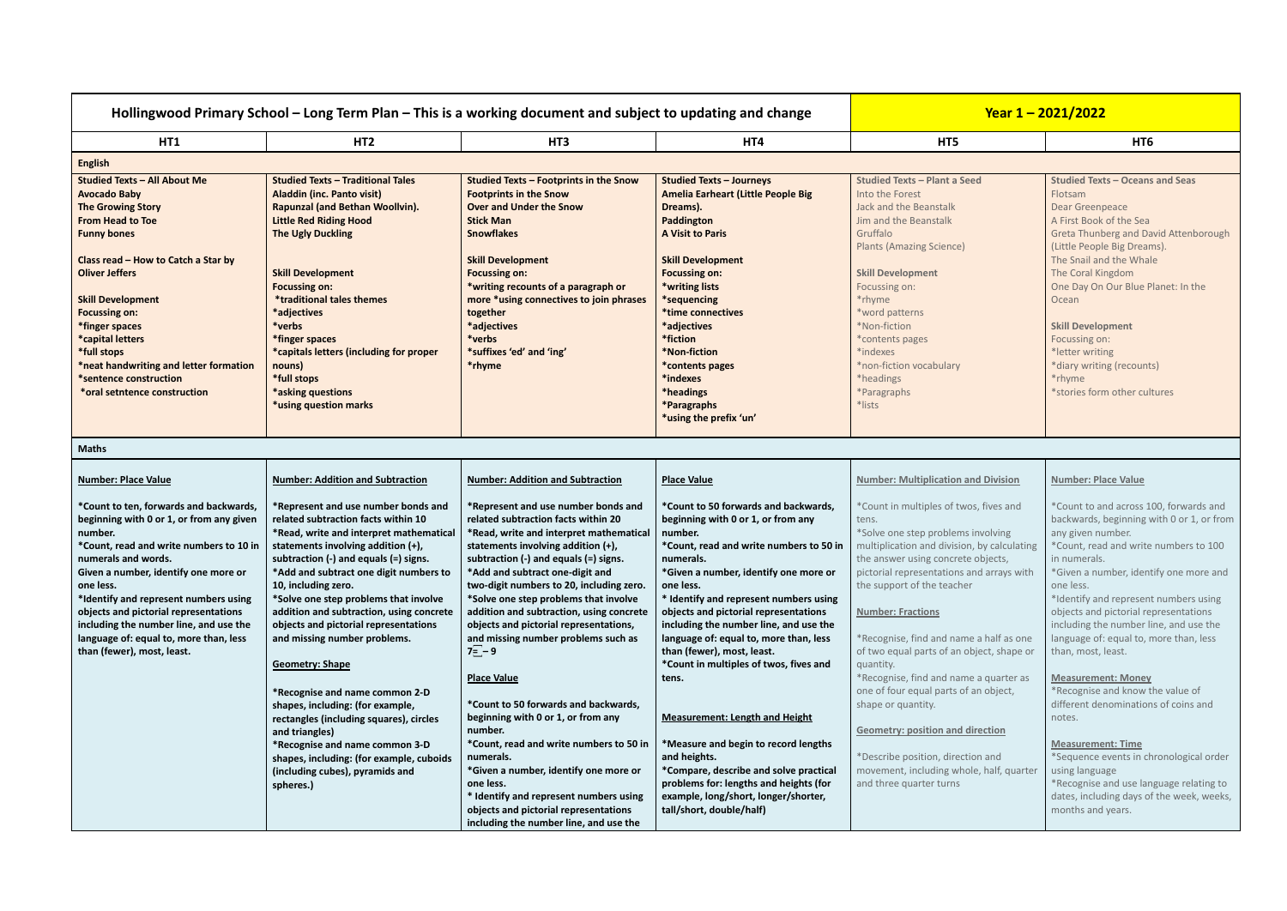| Hollingwood Primary School – Long Term Plan – This is a working document and subject to updating and change                                                                                                                                                                                                                                                                                                              |                                                                                                                                                                                                                                                                                                                                                                                                                                                                                                                                                                                                                                                                                                                                |                                                                                                                                                                                                                                                                                                                                                                                                                                                                                                                                                                                                                                                                                                                                                                                                                                          | Year $1 - 2021/2022$                                                                                                                                                                                                                                                                                                                                                                                                                                                                                                                                                                                                                                                                                                 |                                                                                                                                                                                                                                                                                                                                                                                                                                                                                                                                                                                                                                                        |                                                                                                                                                                                                                                                                                                                                                                                                                                                                                                                                                                                                                                                                                                                                               |
|--------------------------------------------------------------------------------------------------------------------------------------------------------------------------------------------------------------------------------------------------------------------------------------------------------------------------------------------------------------------------------------------------------------------------|--------------------------------------------------------------------------------------------------------------------------------------------------------------------------------------------------------------------------------------------------------------------------------------------------------------------------------------------------------------------------------------------------------------------------------------------------------------------------------------------------------------------------------------------------------------------------------------------------------------------------------------------------------------------------------------------------------------------------------|------------------------------------------------------------------------------------------------------------------------------------------------------------------------------------------------------------------------------------------------------------------------------------------------------------------------------------------------------------------------------------------------------------------------------------------------------------------------------------------------------------------------------------------------------------------------------------------------------------------------------------------------------------------------------------------------------------------------------------------------------------------------------------------------------------------------------------------|----------------------------------------------------------------------------------------------------------------------------------------------------------------------------------------------------------------------------------------------------------------------------------------------------------------------------------------------------------------------------------------------------------------------------------------------------------------------------------------------------------------------------------------------------------------------------------------------------------------------------------------------------------------------------------------------------------------------|--------------------------------------------------------------------------------------------------------------------------------------------------------------------------------------------------------------------------------------------------------------------------------------------------------------------------------------------------------------------------------------------------------------------------------------------------------------------------------------------------------------------------------------------------------------------------------------------------------------------------------------------------------|-----------------------------------------------------------------------------------------------------------------------------------------------------------------------------------------------------------------------------------------------------------------------------------------------------------------------------------------------------------------------------------------------------------------------------------------------------------------------------------------------------------------------------------------------------------------------------------------------------------------------------------------------------------------------------------------------------------------------------------------------|
| HT1                                                                                                                                                                                                                                                                                                                                                                                                                      | HT <sub>2</sub><br>HT <sub>3</sub>                                                                                                                                                                                                                                                                                                                                                                                                                                                                                                                                                                                                                                                                                             |                                                                                                                                                                                                                                                                                                                                                                                                                                                                                                                                                                                                                                                                                                                                                                                                                                          | HT4                                                                                                                                                                                                                                                                                                                                                                                                                                                                                                                                                                                                                                                                                                                  | HT5                                                                                                                                                                                                                                                                                                                                                                                                                                                                                                                                                                                                                                                    | HT <sub>6</sub>                                                                                                                                                                                                                                                                                                                                                                                                                                                                                                                                                                                                                                                                                                                               |
| <b>English</b>                                                                                                                                                                                                                                                                                                                                                                                                           |                                                                                                                                                                                                                                                                                                                                                                                                                                                                                                                                                                                                                                                                                                                                |                                                                                                                                                                                                                                                                                                                                                                                                                                                                                                                                                                                                                                                                                                                                                                                                                                          |                                                                                                                                                                                                                                                                                                                                                                                                                                                                                                                                                                                                                                                                                                                      |                                                                                                                                                                                                                                                                                                                                                                                                                                                                                                                                                                                                                                                        |                                                                                                                                                                                                                                                                                                                                                                                                                                                                                                                                                                                                                                                                                                                                               |
| <b>Studied Texts - All About Me</b><br><b>Avocado Baby</b><br><b>The Growing Story</b><br><b>From Head to Toe</b><br><b>Funny bones</b><br>Class read - How to Catch a Star by<br><b>Oliver Jeffers</b><br><b>Skill Development</b><br><b>Focussing on:</b><br>*finger spaces<br>*capital letters<br>*full stops<br>*neat handwriting and letter formation<br>*sentence construction<br>*oral setntence construction     | <b>Studied Texts - Traditional Tales</b><br><b>Aladdin (inc. Panto visit)</b><br>Rapunzal (and Bethan Woollvin).<br><b>Little Red Riding Hood</b><br><b>The Ugly Duckling</b><br><b>Skill Development</b><br><b>Focussing on:</b><br>*traditional tales themes<br>*adjectives<br>*verbs<br>*finger spaces<br>*capitals letters (including for proper<br>nouns)<br>*full stops<br>*asking questions<br>*using question marks                                                                                                                                                                                                                                                                                                    | <b>Studied Texts - Footprints in the Snow</b><br><b>Footprints in the Snow</b><br><b>Over and Under the Snow</b><br><b>Stick Man</b><br><b>Snowflakes</b><br><b>Skill Development</b><br><b>Focussing on:</b><br>*writing recounts of a paragraph or<br>more *using connectives to join phrases<br>together<br>*adjectives<br>*verbs<br>*suffixes 'ed' and 'ing'<br>*rhyme                                                                                                                                                                                                                                                                                                                                                                                                                                                               | <b>Studied Texts - Journeys</b><br><b>Amelia Earheart (Little People Big</b><br>Dreams).<br>Paddington<br><b>A Visit to Paris</b><br><b>Skill Development</b><br><b>Focussing on:</b><br>*writing lists<br>*sequencing<br>*time connectives<br>*adjectives<br>*fiction<br>*Non-fiction<br>*contents pages<br>*indexes<br>*headings<br>*Paragraphs<br>*using the prefix 'un'                                                                                                                                                                                                                                                                                                                                          | <b>Studied Texts - Plant a Seed</b><br>Into the Forest<br>Jack and the Beanstalk<br>Jim and the Beanstalk<br>Gruffalo<br><b>Plants (Amazing Science)</b><br><b>Skill Development</b><br>Focussing on:<br>*rhyme<br>*word patterns<br>*Non-fiction<br>*contents pages<br>*indexes<br>*non-fiction vocabulary<br>*headings<br>*Paragraphs<br>*lists                                                                                                                                                                                                                                                                                                      | <b>Studied Texts - Oceans and Seas</b><br>Flotsam<br>Dear Greenpeace<br>A First Book of the Sea<br>Greta Thunberg and David Attenborough<br>(Little People Big Dreams).<br>The Snail and the Whale<br>The Coral Kingdom<br>One Day On Our Blue Planet: In the<br>Ocean<br><b>Skill Development</b><br>Focussing on:<br>*letter writing<br>*diary writing (recounts)<br>*rhyme<br>*stories form other cultures                                                                                                                                                                                                                                                                                                                                 |
| <b>Maths</b>                                                                                                                                                                                                                                                                                                                                                                                                             |                                                                                                                                                                                                                                                                                                                                                                                                                                                                                                                                                                                                                                                                                                                                |                                                                                                                                                                                                                                                                                                                                                                                                                                                                                                                                                                                                                                                                                                                                                                                                                                          |                                                                                                                                                                                                                                                                                                                                                                                                                                                                                                                                                                                                                                                                                                                      |                                                                                                                                                                                                                                                                                                                                                                                                                                                                                                                                                                                                                                                        |                                                                                                                                                                                                                                                                                                                                                                                                                                                                                                                                                                                                                                                                                                                                               |
| <b>Number: Place Value</b>                                                                                                                                                                                                                                                                                                                                                                                               | <b>Number: Addition and Subtraction</b>                                                                                                                                                                                                                                                                                                                                                                                                                                                                                                                                                                                                                                                                                        | <b>Number: Addition and Subtraction</b>                                                                                                                                                                                                                                                                                                                                                                                                                                                                                                                                                                                                                                                                                                                                                                                                  | <b>Place Value</b>                                                                                                                                                                                                                                                                                                                                                                                                                                                                                                                                                                                                                                                                                                   | <b>Number: Multiplication and Division</b>                                                                                                                                                                                                                                                                                                                                                                                                                                                                                                                                                                                                             | <b>Number: Place Value</b>                                                                                                                                                                                                                                                                                                                                                                                                                                                                                                                                                                                                                                                                                                                    |
| *Count to ten, forwards and backwards,<br>beginning with 0 or 1, or from any given<br>number.<br>*Count, read and write numbers to 10 in<br>numerals and words.<br>Given a number, identify one more or<br>one less.<br>*Identify and represent numbers using<br>objects and pictorial representations<br>including the number line, and use the<br>language of: equal to, more than, less<br>than (fewer), most, least. | *Represent and use number bonds and<br>related subtraction facts within 10<br>*Read, write and interpret mathematical<br>statements involving addition (+),<br>subtraction (-) and equals (=) signs.<br>*Add and subtract one digit numbers to<br>10, including zero.<br>*Solve one step problems that involve<br>addition and subtraction, using concrete<br>objects and pictorial representations<br>and missing number problems.<br><b>Geometry: Shape</b><br>*Recognise and name common 2-D<br>shapes, including: (for example,<br>rectangles (including squares), circles<br>and triangles)<br>*Recognise and name common 3-D<br>shapes, including: (for example, cuboids<br>(including cubes), pyramids and<br>spheres.) | *Represent and use number bonds and<br>related subtraction facts within 20<br>*Read, write and interpret mathematical<br>statements involving addition (+),<br>subtraction (-) and equals (=) signs.<br>*Add and subtract one-digit and<br>two-digit numbers to 20, including zero.<br>*Solve one step problems that involve<br>addition and subtraction, using concrete<br>objects and pictorial representations,<br>and missing number problems such as<br>$7\overline{=}-9$<br><b>Place Value</b><br>*Count to 50 forwards and backwards,<br>beginning with 0 or 1, or from any<br>number.<br>*Count, read and write numbers to 50 in<br>numerals.<br>*Given a number, identify one more or<br>one less.<br>* Identify and represent numbers using<br>objects and pictorial representations<br>including the number line, and use the | *Count to 50 forwards and backwards,<br>beginning with 0 or 1, or from any<br>number.<br>*Count, read and write numbers to 50 in<br>numerals.<br>*Given a number, identify one more or<br>one less.<br>* Identify and represent numbers using<br>objects and pictorial representations<br>including the number line, and use the<br>language of: equal to, more than, less<br>than (fewer), most, least.<br>*Count in multiples of twos, fives and<br>tens.<br><b>Measurement: Length and Height</b><br>*Measure and begin to record lengths<br>and heights.<br>*Compare, describe and solve practical<br>problems for: lengths and heights (for<br>example, long/short, longer/shorter,<br>tall/short, double/half) | *Count in multiples of twos, fives and<br>tens.<br>*Solve one step problems involving<br>multiplication and division, by calculating<br>the answer using concrete objects,<br>pictorial representations and arrays with<br>the support of the teacher<br><b>Number: Fractions</b><br>*Recognise, find and name a half as one<br>of two equal parts of an object, shape or<br>quantity.<br>*Recognise, find and name a quarter as<br>one of four equal parts of an object,<br>shape or quantity.<br><b>Geometry: position and direction</b><br>*Describe position, direction and<br>movement, including whole, half, quarter<br>and three quarter turns | *Count to and across 100, forwards and<br>backwards, beginning with 0 or 1, or from<br>any given number.<br>*Count, read and write numbers to 100<br>in numerals.<br>*Given a number, identify one more and<br>one less.<br>*Identify and represent numbers using<br>objects and pictorial representations<br>including the number line, and use the<br>language of: equal to, more than, less<br>than, most, least.<br><b>Measurement: Money</b><br>*Recognise and know the value of<br>different denominations of coins and<br>notes.<br><b>Measurement: Time</b><br>*Sequence events in chronological order<br>using language<br>*Recognise and use language relating to<br>dates, including days of the week, weeks,<br>months and years. |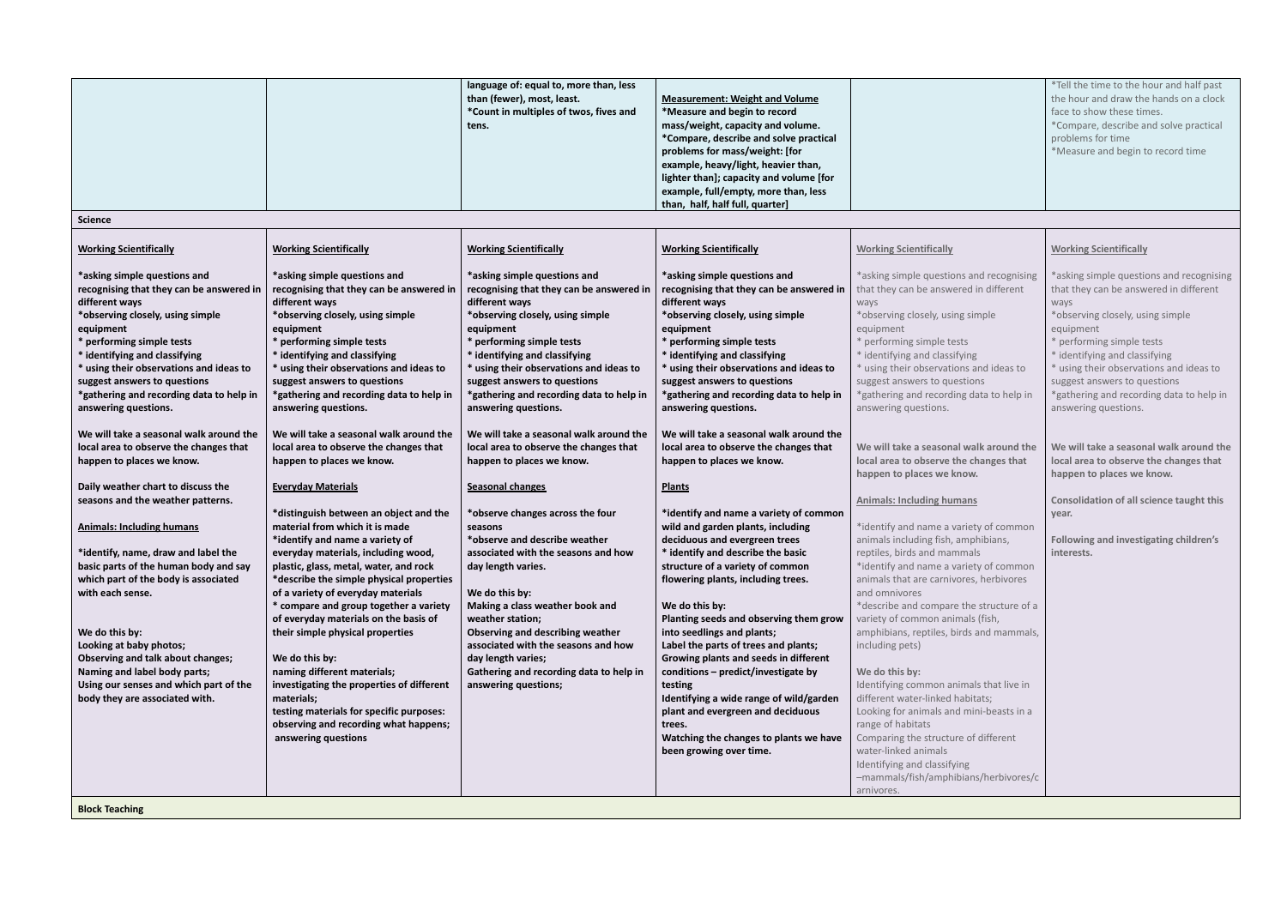|                                                                                                                                                                                                                                                                                                                                                                                                                                                                                                                                                                                                                                                                                                                                                                                                                                                                                                                                     |                                                                                                                                                                                                                                                                                                                                                                                                                                                                                                                                                                                                                                                                                                                                                                                                                                                                                                                                                                                                                                                                                                                                          | language of: equal to, more than, less<br>than (fewer), most, least.<br>*Count in multiples of twos, fives and<br>tens.                                                                                                                                                                                                                                                                                                                                                                                                                                                                                                                                                                                                                                                                                                                                                                  | <b>Measurement: Weight and Volume</b><br>*Measure and begin to record<br>mass/weight, capacity and volume.<br>*Compare, describe and solve practical<br>problems for mass/weight: [for<br>example, heavy/light, heavier than,<br>lighter than]; capacity and volume [for<br>example, full/empty, more than, less                                                                                                                                                                                                                                                                                                                                                                                                                                                                                                                                                                                                                                                                                                                                                                                                       |                                                                                                                                                                                                                                                                                                                                                                                                                                                                                                                                                                                                                                                                                                                                                                                                                                                                                                                                                                                                                                                                                                                                                      | *Tell the time to the hour and half past<br>the hour and draw the hands on a clock<br>face to show these times.<br>*Compare, describe and solve practical<br>problems for time<br>*Measure and begin to record time                                                                                                                                                                                                                                                                                                                                                                     |
|-------------------------------------------------------------------------------------------------------------------------------------------------------------------------------------------------------------------------------------------------------------------------------------------------------------------------------------------------------------------------------------------------------------------------------------------------------------------------------------------------------------------------------------------------------------------------------------------------------------------------------------------------------------------------------------------------------------------------------------------------------------------------------------------------------------------------------------------------------------------------------------------------------------------------------------|------------------------------------------------------------------------------------------------------------------------------------------------------------------------------------------------------------------------------------------------------------------------------------------------------------------------------------------------------------------------------------------------------------------------------------------------------------------------------------------------------------------------------------------------------------------------------------------------------------------------------------------------------------------------------------------------------------------------------------------------------------------------------------------------------------------------------------------------------------------------------------------------------------------------------------------------------------------------------------------------------------------------------------------------------------------------------------------------------------------------------------------|------------------------------------------------------------------------------------------------------------------------------------------------------------------------------------------------------------------------------------------------------------------------------------------------------------------------------------------------------------------------------------------------------------------------------------------------------------------------------------------------------------------------------------------------------------------------------------------------------------------------------------------------------------------------------------------------------------------------------------------------------------------------------------------------------------------------------------------------------------------------------------------|------------------------------------------------------------------------------------------------------------------------------------------------------------------------------------------------------------------------------------------------------------------------------------------------------------------------------------------------------------------------------------------------------------------------------------------------------------------------------------------------------------------------------------------------------------------------------------------------------------------------------------------------------------------------------------------------------------------------------------------------------------------------------------------------------------------------------------------------------------------------------------------------------------------------------------------------------------------------------------------------------------------------------------------------------------------------------------------------------------------------|------------------------------------------------------------------------------------------------------------------------------------------------------------------------------------------------------------------------------------------------------------------------------------------------------------------------------------------------------------------------------------------------------------------------------------------------------------------------------------------------------------------------------------------------------------------------------------------------------------------------------------------------------------------------------------------------------------------------------------------------------------------------------------------------------------------------------------------------------------------------------------------------------------------------------------------------------------------------------------------------------------------------------------------------------------------------------------------------------------------------------------------------------|-----------------------------------------------------------------------------------------------------------------------------------------------------------------------------------------------------------------------------------------------------------------------------------------------------------------------------------------------------------------------------------------------------------------------------------------------------------------------------------------------------------------------------------------------------------------------------------------|
|                                                                                                                                                                                                                                                                                                                                                                                                                                                                                                                                                                                                                                                                                                                                                                                                                                                                                                                                     |                                                                                                                                                                                                                                                                                                                                                                                                                                                                                                                                                                                                                                                                                                                                                                                                                                                                                                                                                                                                                                                                                                                                          |                                                                                                                                                                                                                                                                                                                                                                                                                                                                                                                                                                                                                                                                                                                                                                                                                                                                                          | than, half, half full, quarter]                                                                                                                                                                                                                                                                                                                                                                                                                                                                                                                                                                                                                                                                                                                                                                                                                                                                                                                                                                                                                                                                                        |                                                                                                                                                                                                                                                                                                                                                                                                                                                                                                                                                                                                                                                                                                                                                                                                                                                                                                                                                                                                                                                                                                                                                      |                                                                                                                                                                                                                                                                                                                                                                                                                                                                                                                                                                                         |
| <b>Science</b>                                                                                                                                                                                                                                                                                                                                                                                                                                                                                                                                                                                                                                                                                                                                                                                                                                                                                                                      |                                                                                                                                                                                                                                                                                                                                                                                                                                                                                                                                                                                                                                                                                                                                                                                                                                                                                                                                                                                                                                                                                                                                          |                                                                                                                                                                                                                                                                                                                                                                                                                                                                                                                                                                                                                                                                                                                                                                                                                                                                                          |                                                                                                                                                                                                                                                                                                                                                                                                                                                                                                                                                                                                                                                                                                                                                                                                                                                                                                                                                                                                                                                                                                                        |                                                                                                                                                                                                                                                                                                                                                                                                                                                                                                                                                                                                                                                                                                                                                                                                                                                                                                                                                                                                                                                                                                                                                      |                                                                                                                                                                                                                                                                                                                                                                                                                                                                                                                                                                                         |
| <b>Working Scientifically</b>                                                                                                                                                                                                                                                                                                                                                                                                                                                                                                                                                                                                                                                                                                                                                                                                                                                                                                       | <b>Working Scientifically</b>                                                                                                                                                                                                                                                                                                                                                                                                                                                                                                                                                                                                                                                                                                                                                                                                                                                                                                                                                                                                                                                                                                            | <b>Working Scientifically</b>                                                                                                                                                                                                                                                                                                                                                                                                                                                                                                                                                                                                                                                                                                                                                                                                                                                            | <b>Working Scientifically</b>                                                                                                                                                                                                                                                                                                                                                                                                                                                                                                                                                                                                                                                                                                                                                                                                                                                                                                                                                                                                                                                                                          | <b>Working Scientifically</b>                                                                                                                                                                                                                                                                                                                                                                                                                                                                                                                                                                                                                                                                                                                                                                                                                                                                                                                                                                                                                                                                                                                        | <b>Working Scientifically</b>                                                                                                                                                                                                                                                                                                                                                                                                                                                                                                                                                           |
| *asking simple questions and<br>recognising that they can be answered in<br>different ways<br>*observing closely, using simple<br>equipment<br>* performing simple tests<br>* identifying and classifying<br>* using their observations and ideas to<br>suggest answers to questions<br>*gathering and recording data to help in<br>answering questions.<br>We will take a seasonal walk around the<br>local area to observe the changes that<br>happen to places we know.<br>Daily weather chart to discuss the<br>seasons and the weather patterns.<br><b>Animals: Including humans</b><br>*identify, name, draw and label the<br>basic parts of the human body and say<br>which part of the body is associated<br>with each sense.<br>We do this by:<br>Looking at baby photos;<br>Observing and talk about changes;<br>Naming and label body parts;<br>Using our senses and which part of the<br>body they are associated with. | *asking simple questions and<br>recognising that they can be answered in<br>different ways<br>*observing closely, using simple<br>equipment<br>* performing simple tests<br>* identifying and classifying<br>* using their observations and ideas to<br>suggest answers to questions<br>*gathering and recording data to help in<br>answering questions.<br>We will take a seasonal walk around the<br>local area to observe the changes that<br>happen to places we know.<br><b>Everyday Materials</b><br>*distinguish between an object and the<br>material from which it is made<br>*identify and name a variety of<br>everyday materials, including wood,<br>plastic, glass, metal, water, and rock<br>*describe the simple physical properties<br>of a variety of everyday materials<br>* compare and group together a variety<br>of everyday materials on the basis of<br>their simple physical properties<br>We do this by:<br>naming different materials;<br>investigating the properties of different<br>materials;<br>testing materials for specific purposes:<br>observing and recording what happens;<br>answering questions | *asking simple questions and<br>recognising that they can be answered in<br>different ways<br>*observing closely, using simple<br>equipment<br>* performing simple tests<br>* identifying and classifying<br>* using their observations and ideas to<br>suggest answers to questions<br>*gathering and recording data to help in<br>answering questions.<br>We will take a seasonal walk around the<br>local area to observe the changes that<br>happen to places we know.<br>Seasonal changes<br>*observe changes across the four<br>seasons<br>*observe and describe weather<br>associated with the seasons and how<br>day length varies.<br>We do this by:<br>Making a class weather book and<br>weather station;<br>Observing and describing weather<br>associated with the seasons and how<br>day length varies;<br>Gathering and recording data to help in<br>answering questions; | *asking simple questions and<br>recognising that they can be answered in<br>different ways<br>*observing closely, using simple<br>equipment<br>* performing simple tests<br>* identifying and classifying<br>* using their observations and ideas to<br>suggest answers to questions<br>*gathering and recording data to help in<br>answering questions.<br>We will take a seasonal walk around the<br>local area to observe the changes that<br>happen to places we know.<br><b>Plants</b><br>*identify and name a variety of common<br>wild and garden plants, including<br>deciduous and evergreen trees<br>* identify and describe the basic<br>structure of a variety of common<br>flowering plants, including trees.<br>We do this by:<br>Planting seeds and observing them grow<br>into seedlings and plants;<br>Label the parts of trees and plants;<br>Growing plants and seeds in different<br>conditions - predict/investigate by<br>testing<br>Identifying a wide range of wild/garden<br>plant and evergreen and deciduous<br>trees.<br>Watching the changes to plants we have<br>been growing over time. | *asking simple questions and recognising<br>that they can be answered in different<br>ways<br>*observing closely, using simple<br>equipment<br>* performing simple tests<br>* identifying and classifying<br>* using their observations and ideas to<br>suggest answers to questions<br>*gathering and recording data to help in<br>answering questions.<br>We will take a seasonal walk around the<br>local area to observe the changes that<br>happen to places we know.<br><b>Animals: Including humans</b><br>*identify and name a variety of common<br>animals including fish, amphibians,<br>reptiles, birds and mammals<br>*identify and name a variety of common<br>animals that are carnivores, herbivores<br>and omnivores<br>*describe and compare the structure of a<br>variety of common animals (fish,<br>amphibians, reptiles, birds and mammals,<br>including pets)<br>We do this by:<br>Identifying common animals that live in<br>different water-linked habitats;<br>Looking for animals and mini-beasts in a<br>range of habitats<br>Comparing the structure of different<br>water-linked animals<br>Identifying and classifying | *asking simple questions and recognising<br>that they can be answered in different<br>ways<br>*observing closely, using simple<br>equipment<br>* performing simple tests<br>* identifying and classifying<br>* using their observations and ideas to<br>suggest answers to questions<br>*gathering and recording data to help in<br>answering questions.<br>We will take a seasonal walk around the<br>local area to observe the changes that<br>happen to places we know.<br>Consolidation of all science taught this<br>year.<br>Following and investigating children's<br>interests. |
|                                                                                                                                                                                                                                                                                                                                                                                                                                                                                                                                                                                                                                                                                                                                                                                                                                                                                                                                     |                                                                                                                                                                                                                                                                                                                                                                                                                                                                                                                                                                                                                                                                                                                                                                                                                                                                                                                                                                                                                                                                                                                                          |                                                                                                                                                                                                                                                                                                                                                                                                                                                                                                                                                                                                                                                                                                                                                                                                                                                                                          |                                                                                                                                                                                                                                                                                                                                                                                                                                                                                                                                                                                                                                                                                                                                                                                                                                                                                                                                                                                                                                                                                                                        | -mammals/fish/amphibians/herbivores/c<br>arnivores.                                                                                                                                                                                                                                                                                                                                                                                                                                                                                                                                                                                                                                                                                                                                                                                                                                                                                                                                                                                                                                                                                                  |                                                                                                                                                                                                                                                                                                                                                                                                                                                                                                                                                                                         |
| <b>Block Teaching</b>                                                                                                                                                                                                                                                                                                                                                                                                                                                                                                                                                                                                                                                                                                                                                                                                                                                                                                               |                                                                                                                                                                                                                                                                                                                                                                                                                                                                                                                                                                                                                                                                                                                                                                                                                                                                                                                                                                                                                                                                                                                                          |                                                                                                                                                                                                                                                                                                                                                                                                                                                                                                                                                                                                                                                                                                                                                                                                                                                                                          |                                                                                                                                                                                                                                                                                                                                                                                                                                                                                                                                                                                                                                                                                                                                                                                                                                                                                                                                                                                                                                                                                                                        |                                                                                                                                                                                                                                                                                                                                                                                                                                                                                                                                                                                                                                                                                                                                                                                                                                                                                                                                                                                                                                                                                                                                                      |                                                                                                                                                                                                                                                                                                                                                                                                                                                                                                                                                                                         |

|                                                                                                                               | <b>Working Scientifically</b>                                                                                                                                                                                                                                                                                                                            |
|-------------------------------------------------------------------------------------------------------------------------------|----------------------------------------------------------------------------------------------------------------------------------------------------------------------------------------------------------------------------------------------------------------------------------------------------------------------------------------------------------|
| nd recognising<br>in different<br>mple<br>and ideas to<br>ns<br>lata to help in                                               | *asking simple questions and recognising<br>that they can be answered in different<br>ways<br>*observing closely, using simple<br>equipment<br>* performing simple tests<br>* identifying and classifying<br>* using their observations and ideas to<br>suggest answers to questions<br>*gathering and recording data to help in<br>answering questions. |
| alk around the<br>hanges that:<br>ı.                                                                                          | We will take a seasonal walk around the<br>local area to observe the changes that<br>happen to places we know.                                                                                                                                                                                                                                           |
| <u>s</u><br>ty of common<br>phibians,<br>ls.<br>ty of common<br>s, herbivores<br>e structure of a<br>s (fish,<br>and mammals, | <b>Consolidation of all science taught this</b><br>year.<br><b>Following and investigating children's</b><br>interests.                                                                                                                                                                                                                                  |
| Is that live in<br>tats;<br>ini-beasts in a<br>f different                                                                    |                                                                                                                                                                                                                                                                                                                                                          |
| ns/herbivores/c                                                                                                               |                                                                                                                                                                                                                                                                                                                                                          |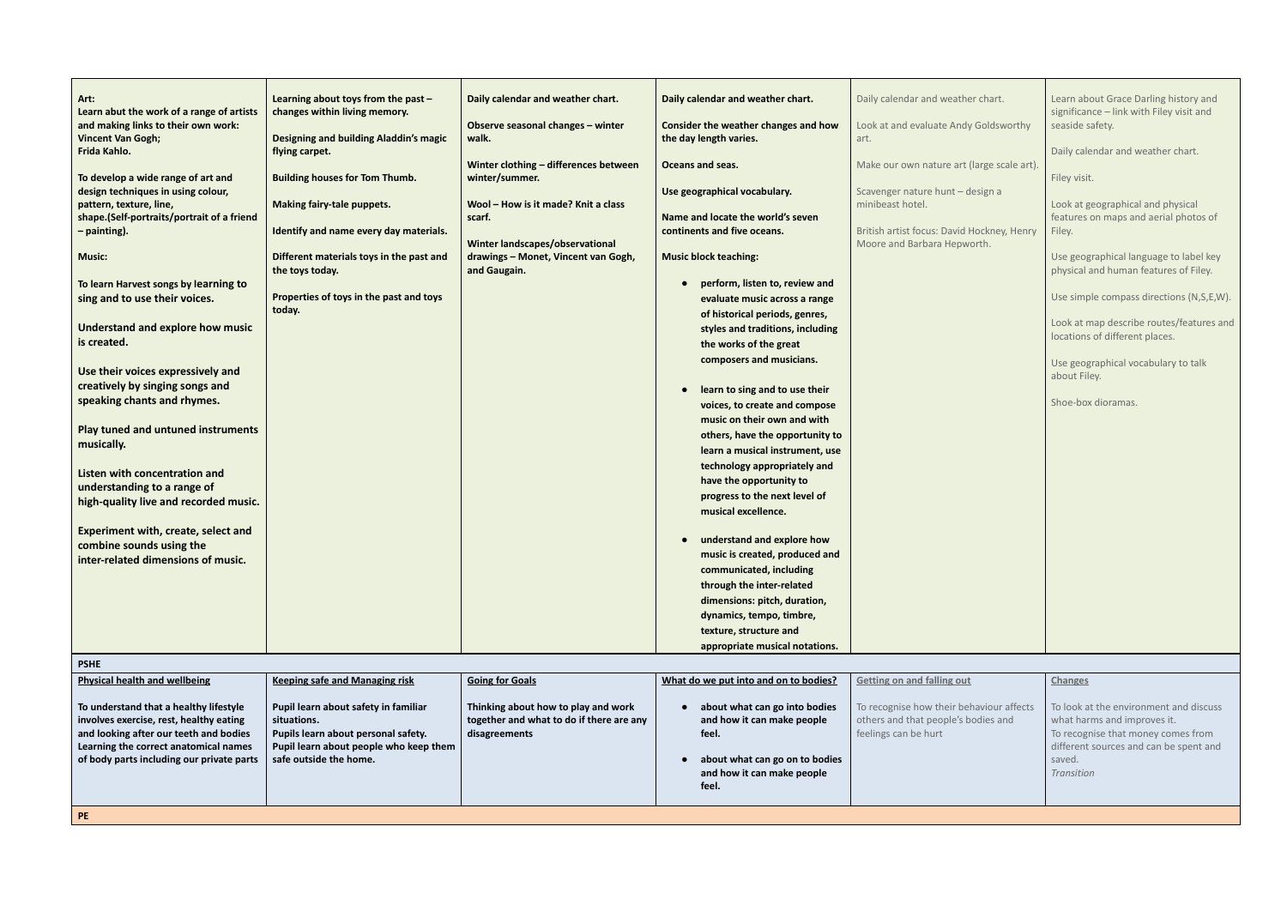| Art:<br>Learn abut the work of a range of artists                                 | Learning about toys from the past $-$<br>changes within living memory. | Daily calendar and weather chart.                         | Daily calendar and weather chart.                                  | Daily calendar and weather chart.                           | Learn about Grace Darling history and<br>significance - link with Filey visit and |  |
|-----------------------------------------------------------------------------------|------------------------------------------------------------------------|-----------------------------------------------------------|--------------------------------------------------------------------|-------------------------------------------------------------|-----------------------------------------------------------------------------------|--|
| and making links to their own work:                                               | Designing and building Aladdin's magic                                 | Observe seasonal changes - winter                         | Consider the weather changes and how<br>the day length varies.     | Look at and evaluate Andy Goldsworthy                       | seaside safety.                                                                   |  |
| <b>Vincent Van Gogh;</b><br>Frida Kahlo.                                          | flying carpet.                                                         | walk.                                                     |                                                                    | art.                                                        | Daily calendar and weather chart.                                                 |  |
|                                                                                   |                                                                        | Winter clothing - differences between                     | Oceans and seas.                                                   | Make our own nature art (large scale art).                  |                                                                                   |  |
| To develop a wide range of art and<br>design techniques in using colour,          | <b>Building houses for Tom Thumb.</b>                                  | winter/summer.                                            | Use geographical vocabulary.                                       | Scavenger nature hunt - design a                            | Filey visit.                                                                      |  |
| pattern, texture, line,                                                           | <b>Making fairy-tale puppets.</b>                                      | Wool - How is it made? Knit a class                       |                                                                    | minibeast hotel.                                            | Look at geographical and physical                                                 |  |
| shape.(Self-portraits/portrait of a friend<br>- painting).                        | Identify and name every day materials.                                 | scarf.                                                    | Name and locate the world's seven<br>continents and five oceans.   | British artist focus: David Hockney, Henry                  | features on maps and aerial photos of<br>Filey.                                   |  |
|                                                                                   |                                                                        | Winter landscapes/observational                           |                                                                    | Moore and Barbara Hepworth.                                 |                                                                                   |  |
| <b>Music:</b>                                                                     | Different materials toys in the past and<br>the toys today.            | drawings - Monet, Vincent van Gogh,<br>and Gaugain.       | <b>Music block teaching:</b>                                       |                                                             | Use geographical language to label key<br>physical and human features of Filey.   |  |
| To learn Harvest songs by learning to                                             |                                                                        |                                                           | perform, listen to, review and                                     |                                                             |                                                                                   |  |
| sing and to use their voices.                                                     | Properties of toys in the past and toys<br>today.                      |                                                           | evaluate music across a range<br>of historical periods, genres,    |                                                             | Use simple compass directions (N,S,E,W).                                          |  |
| Understand and explore how music                                                  |                                                                        |                                                           | styles and traditions, including                                   |                                                             | Look at map describe routes/features and                                          |  |
| is created.                                                                       |                                                                        |                                                           | the works of the great                                             |                                                             | locations of different places.                                                    |  |
| Use their voices expressively and                                                 |                                                                        |                                                           | composers and musicians.                                           |                                                             | Use geographical vocabulary to talk                                               |  |
| creatively by singing songs and                                                   |                                                                        |                                                           | learn to sing and to use their<br>$\bullet$                        |                                                             | about Filey.                                                                      |  |
| speaking chants and rhymes.                                                       |                                                                        |                                                           | voices, to create and compose                                      |                                                             | Shoe-box dioramas.                                                                |  |
| <b>Play tuned and untuned instruments</b>                                         |                                                                        |                                                           | music on their own and with                                        |                                                             |                                                                                   |  |
| musically.                                                                        |                                                                        |                                                           | others, have the opportunity to<br>learn a musical instrument, use |                                                             |                                                                                   |  |
| Listen with concentration and                                                     |                                                                        |                                                           | technology appropriately and                                       |                                                             |                                                                                   |  |
| understanding to a range of                                                       |                                                                        |                                                           | have the opportunity to                                            |                                                             |                                                                                   |  |
| high-quality live and recorded music.                                             |                                                                        |                                                           | progress to the next level of<br>musical excellence.               |                                                             |                                                                                   |  |
| <b>Experiment with, create, select and</b>                                        |                                                                        |                                                           |                                                                    |                                                             |                                                                                   |  |
| combine sounds using the                                                          |                                                                        |                                                           | understand and explore how<br>music is created, produced and       |                                                             |                                                                                   |  |
| inter-related dimensions of music.                                                |                                                                        |                                                           | communicated, including                                            |                                                             |                                                                                   |  |
|                                                                                   |                                                                        |                                                           | through the inter-related                                          |                                                             |                                                                                   |  |
|                                                                                   |                                                                        |                                                           | dimensions: pitch, duration,<br>dynamics, tempo, timbre,           |                                                             |                                                                                   |  |
|                                                                                   |                                                                        |                                                           | texture, structure and                                             |                                                             |                                                                                   |  |
|                                                                                   |                                                                        |                                                           | appropriate musical notations.                                     |                                                             |                                                                                   |  |
| <b>PSHE</b>                                                                       |                                                                        |                                                           |                                                                    |                                                             |                                                                                   |  |
| <b>Physical health and wellbeing</b>                                              | <b>Keeping safe and Managing risk</b>                                  | <b>Going for Goals</b>                                    | What do we put into and on to bodies?                              | <b>Getting on and falling out</b>                           | <b>Changes</b>                                                                    |  |
| To understand that a healthy lifestyle                                            | Pupil learn about safety in familiar                                   | Thinking about how to play and work                       | about what can go into bodies                                      | To recognise how their behaviour affects                    | To look at the environment and discuss                                            |  |
| involves exercise, rest, healthy eating<br>and looking after our teeth and bodies | situations.<br>Pupils learn about personal safety.                     | together and what to do if there are any<br>disagreements | and how it can make people<br>feel.                                | others and that people's bodies and<br>feelings can be hurt | what harms and improves it.<br>To recognise that money comes from                 |  |
| Learning the correct anatomical names                                             | Pupil learn about people who keep them                                 |                                                           |                                                                    |                                                             | different sources and can be spent and                                            |  |
| of body parts including our private parts                                         | safe outside the home.                                                 |                                                           | about what can go on to bodies<br>and how it can make people       |                                                             | saved.<br>Transition                                                              |  |
|                                                                                   |                                                                        |                                                           | feel.                                                              |                                                             |                                                                                   |  |
| PE                                                                                |                                                                        |                                                           |                                                                    |                                                             |                                                                                   |  |